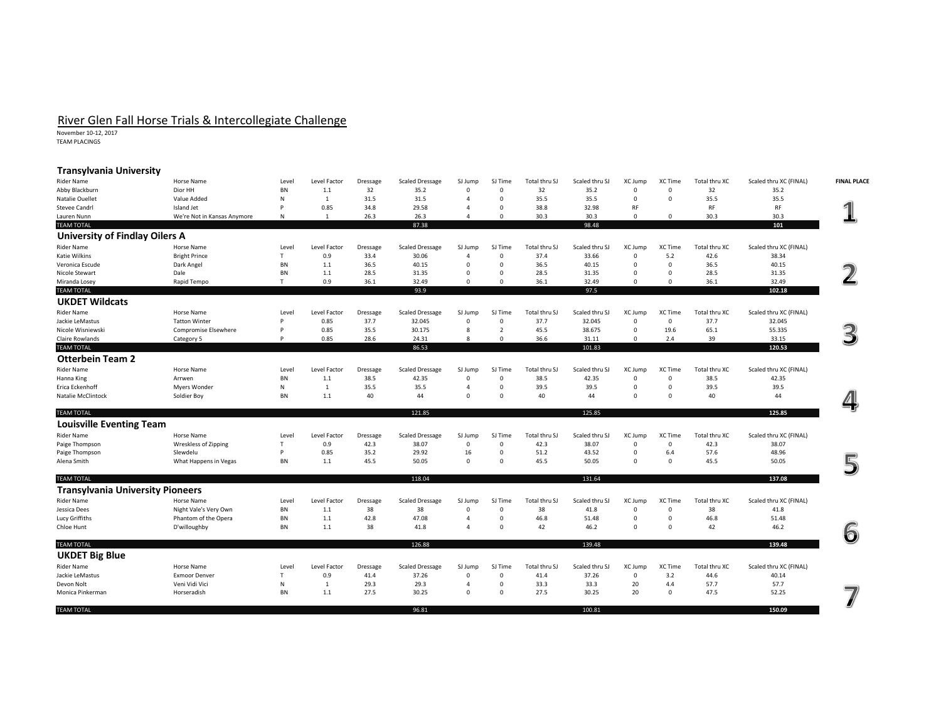## River Glen Fall Horse Trials & Intercollegiate Challenge<br>November 10-12, 2017

TEAM PLACINGS

| <b>Transylvania University</b>          |                                        |                   |                |                         |                        |                            |                |               |                |                        |              |               |                        |                    |
|-----------------------------------------|----------------------------------------|-------------------|----------------|-------------------------|------------------------|----------------------------|----------------|---------------|----------------|------------------------|--------------|---------------|------------------------|--------------------|
| <b>Rider Name</b>                       | Horse Name                             | Level             | Level Factor   | Dressage                | <b>Scaled Dressage</b> | SJ Jump                    | SJ Time        | Total thru SJ | Scaled thru SJ | XC Jump                | XC Time      | Total thru XC | Scaled thru XC (FINAL) | <b>FINAL PLACE</b> |
| Abby Blackburn                          | Dior HH                                | <b>BN</b>         | 1.1            | 32                      | 35.2                   | $\mathbf 0$                | $\Omega$       | 32            | 35.2           | $\Omega$               | $\Omega$     | 32            | 35.2                   |                    |
| <b>Natalie Ouellet</b>                  | Value Added                            | N                 | 1              | 31.5                    | 31.5                   | $\overline{4}$             | $\mathbf 0$    | 35.5          | 35.5           | $\mathbf 0$            | $\mathbf 0$  | 35.5          | 35.5                   |                    |
| <b>Stevee Candrl</b>                    | Island Jet                             | <b>D</b>          | 0.85           | 34.8                    | 29.58                  | $\overline{4}$             | $\mathbf 0$    | 38.8          | 32.98          | RF                     |              | RF            | RF                     |                    |
| Lauren Nunn                             | We're Not in Kansas Anymore            | N                 | 1              | 26.3                    | 26.3                   | $\overline{4}$             | $\Omega$       | 30.3          | 30.3           | $\Omega$               | $\Omega$     | 30.3          | 30.3                   |                    |
| <b>TEAM TOTAL</b>                       |                                        |                   |                |                         | 87.38                  |                            |                |               | 98.48          |                        |              |               | 101                    |                    |
| <b>University of Findlay Oilers A</b>   |                                        |                   |                |                         |                        |                            |                |               |                |                        |              |               |                        |                    |
| <b>Rider Name</b>                       | Horse Name                             | Level             | Level Factor   | Dressage                | <b>Scaled Dressage</b> | SJ Jump                    | SJ Time        | Total thru SJ | Scaled thru SJ | XC Jump                | XC Time      | Total thru XC | Scaled thru XC (FINAL) |                    |
| Katie Wilkins                           | <b>Bright Prince</b>                   | T                 | 0.9            | 33.4                    | 30.06                  | $\overline{4}$             | $\mathbf 0$    | 37.4          | 33.66          | $\mathbf 0$            | 5.2          | 42.6          | 38.34                  |                    |
| Veronica Escude                         | Dark Angel                             | <b>BN</b>         | 1.1            | 36.5                    | 40.15                  | $\overline{0}$             | $\mathbf 0$    | 36.5          | 40.15          | $\mathbf 0$            | $\mathbf 0$  | 36.5          | 40.15                  |                    |
| Nicole Stewart                          | Dale                                   | <b>BN</b>         | 1.1            | 28.5                    | 31.35                  | $\Omega$                   | $\Omega$       | 28.5          | 31.35          | $\Omega$               | $\Omega$     | 28.5          | 31.35                  |                    |
| Miranda Losey                           | Rapid Tempo                            | T                 | 0.9            | 36.1                    | 32.49                  | $\mathbf 0$                | $\overline{0}$ | 36.1          | 32.49          | $\Omega$               | $\mathbf 0$  | 36.1          | 32.49                  |                    |
| <b>TEAM TOTAL</b>                       |                                        |                   |                |                         | 93.9                   |                            |                |               | 97.5           |                        |              |               | 102.18                 |                    |
| <b>UKDET Wildcats</b>                   |                                        |                   |                |                         |                        |                            |                |               |                |                        |              |               |                        |                    |
| <b>Rider Name</b>                       | Horse Name                             | Level             | Level Factor   | Dressage                | <b>Scaled Dressage</b> | SJ Jump                    | SJ Time        | Total thru SJ | Scaled thru SJ | XC Jump                | XC Time      | Total thru XC | Scaled thru XC (FINAL) |                    |
| Jackie LeMastus                         | <b>Tatton Winter</b>                   | P                 | 0.85           | 37.7                    | 32.045                 | $\mathbf 0$                | $\mathbf{0}$   | 37.7          | 32.045         | $^{\circ}$             | $\mathbf 0$  | 37.7          | 32.045                 |                    |
| Nicole Wisniewski                       | Compromise Elsewhere                   | P                 | 0.85           | 35.5                    | 30.175                 | 8                          | $\overline{2}$ | 45.5          | 38.675         | $\mathbf 0$            | 19.6         | 65.1          | 55.335                 | 3                  |
| Claire Rowlands                         | Category 5                             | P                 | 0.85           | 28.6                    | 24.31                  | 8                          | $\mathbf 0$    | 36.6          | 31.11          | $^{\circ}$             | 2.4          | 39            | 33.15                  |                    |
| <b>TEAM TOTAL</b>                       |                                        |                   |                |                         | 86.53                  |                            |                |               | 101.83         |                        |              |               | 120.53                 |                    |
| <b>Otterbein Team 2</b>                 |                                        |                   |                |                         |                        |                            |                |               |                |                        |              |               |                        |                    |
| <b>Rider Name</b>                       | Horse Name                             | Level             | Level Factor   | <b>Dressage</b>         | <b>Scaled Dressage</b> | SJ Jump                    | SJ Time        | Total thru SJ | Scaled thru SJ | XC Jump                | XC Time      | Total thru XC | Scaled thru XC (FINAL) |                    |
| Hanna King                              | Arrwen                                 | BN                | 1.1            | 38.5                    | 42.35                  | $\mathbf 0$                | $\mathbf{0}$   | 38.5          | 42.35          | $^{\circ}$             | $\mathbf 0$  | 38.5          | 42.35                  |                    |
| Erica Eckenhoff                         | Myers Wonder                           | N                 | $\overline{1}$ | 35.5                    | 35.5                   | $\overline{4}$             | $\Omega$       | 39.5          | 39.5           | $\Omega$               | $\Omega$     | 39.5          | 39.5                   |                    |
| Natalie McClintock                      | Soldier Boy                            | <b>BN</b>         | 1.1            | 40                      | 44                     | $\overline{0}$             | $\mathbf 0$    | 40            | 44             | 0                      | $\mathbf 0$  | 40            | 44                     |                    |
|                                         |                                        |                   |                |                         |                        |                            |                |               |                |                        |              |               |                        |                    |
| <b>TEAM TOTAL</b>                       |                                        |                   |                |                         | 121.85                 |                            |                |               | 125.85         |                        |              |               | 125.85                 |                    |
| <b>Louisville Eventing Team</b>         |                                        |                   |                |                         |                        |                            |                |               |                |                        |              |               |                        |                    |
| <b>Rider Name</b>                       | Horse Name                             | Level             | Level Factor   | Dressage                | <b>Scaled Dressage</b> | SJ Jump                    | SJ Time        | Total thru SJ | Scaled thru SJ | XC Jump                | XC Time      | Total thru XC | Scaled thru XC (FINAL) |                    |
| Paige Thompson                          | Wreskless of Zipping                   | T                 | 0.9            | 42.3                    | 38.07                  | $\mathbf 0$                | $\Omega$       | 42.3          | 38.07          | $\Omega$               | $\mathbf{0}$ | 42.3          | 38.07                  |                    |
| Paige Thompson                          | Slewdelu                               | P                 | 0.85           | 35.2                    | 29.92                  | 16                         | $\Omega$       | 51.2          | 43.52          | $\Omega$               | 6.4          | 57.6          | 48.96                  |                    |
| Alena Smith                             | What Happens in Vegas                  | <b>BN</b>         | 1.1            | 45.5                    | 50.05                  | $\mathbf 0$                | $\Omega$       | 45.5          | 50.05          | $\Omega$               | $\mathbf{0}$ | 45.5          | 50.05                  |                    |
|                                         |                                        |                   |                |                         |                        |                            |                |               |                |                        |              |               |                        |                    |
| <b>TEAM TOTAL</b>                       |                                        |                   |                |                         | 118.04                 |                            |                |               | 131.64         |                        |              |               | 137.08                 |                    |
| <b>Transylvania University Pioneers</b> |                                        |                   |                |                         |                        |                            |                |               |                |                        |              |               |                        |                    |
|                                         |                                        |                   |                |                         |                        |                            |                |               |                |                        |              |               |                        |                    |
| <b>Rider Name</b>                       | Horse Name                             | Level             | Level Factor   | <b>Dressage</b>         | <b>Scaled Dressage</b> | SJ Jump                    | SJ Time        | Total thru SJ | Scaled thru SJ | XC Jump                | XC Time      | Total thru XC | Scaled thru XC (FINAL) |                    |
| Jessica Dees                            | Night Vale's Very Own                  | <b>BN</b>         | 1.1            | 38                      | 38                     | $\mathbf 0$                | $\mathbf 0$    | 38            | 41.8           | $\mathbf 0$            | $\mathbf{0}$ | 38            | 41.8                   |                    |
| Lucy Griffiths                          | Phantom of the Opera                   | BN                | 1.1            | 42.8                    | 47.08                  | $\overline{4}$<br>$\Delta$ | $\mathbf 0$    | 46.8          | 51.48          | $^{\circ}$<br>$\Omega$ | $\mathbf 0$  | 46.8          | 51.48                  |                    |
| Chloe Hunt                              | D'willoughby                           | <b>BN</b>         | 1.1            | 38                      | 41.8                   |                            | $\Omega$       | 42            | 46.2           |                        | $\mathbf{0}$ | 42            | 46.2                   | 6                  |
| <b>TEAM TOTAL</b>                       |                                        |                   |                |                         | 126.88                 |                            |                |               | 139.48         |                        |              |               | 139.48                 |                    |
| <b>UKDET Big Blue</b>                   |                                        |                   |                |                         |                        |                            |                |               |                |                        |              |               |                        |                    |
| <b>Rider Name</b>                       |                                        |                   | Level Factor   |                         | <b>Scaled Dressage</b> | SJ Jump                    | SJ Time        | Total thru SJ | Scaled thru SJ | XC Jump                | XC Time      | Total thru XC | Scaled thru XC (FINAL) |                    |
|                                         | Horse Name                             | Level             |                | <b>Dressage</b><br>41.4 | 37.26                  | $\mathbf 0$                | $\Omega$       | 41.4          | 37.26          | $\mathbf 0$            | 3.2          | 44.6          | 40.14                  |                    |
| Jackie LeMastus<br>Devon Nolt           | <b>Exmoor Denver</b><br>Veni Vidi Vici | T<br>$\mathsf{N}$ | 0.9<br>-1      | 29.3                    | 29.3                   | $\overline{4}$             | $\Omega$       | 33.3          | 33.3           | 20                     | 4.4          | 57.7          | 57.7                   |                    |
| Monica Pinkerman                        | Horseradish                            | <b>BN</b>         | 1.1            | 27.5                    | 30.25                  | $\mathbf{0}$               | $\Omega$       | 27.5          | 30.25          | 20                     | $\mathbf{0}$ | 47.5          | 52.25                  |                    |
|                                         |                                        |                   |                |                         |                        |                            |                |               |                |                        |              |               |                        |                    |
| <b>TEAM TOTAL</b>                       |                                        |                   |                |                         | 96.81                  |                            |                |               | 100.81         |                        |              |               | 150.09                 |                    |